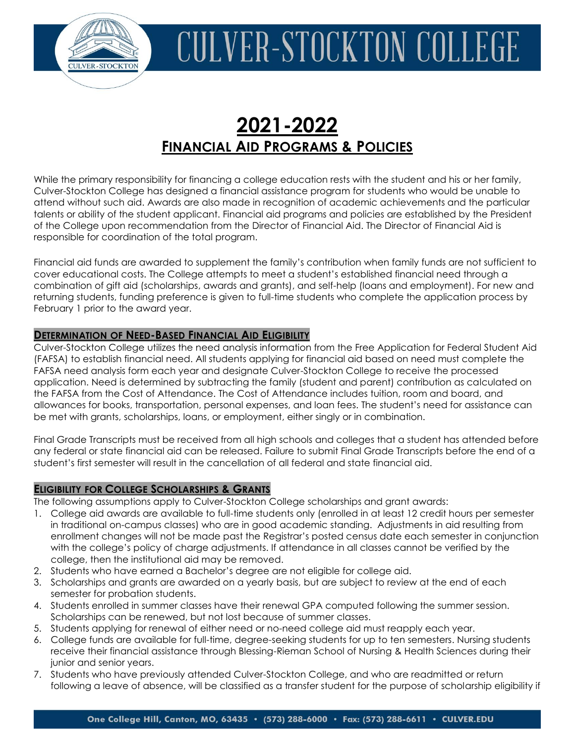

### **2021-2022 FINANCIAL AID PROGRAMS & POLICIES**

While the primary responsibility for financing a college education rests with the student and his or her family, Culver-Stockton College has designed a financial assistance program for students who would be unable to attend without such aid. Awards are also made in recognition of academic achievements and the particular talents or ability of the student applicant. Financial aid programs and policies are established by the President of the College upon recommendation from the Director of Financial Aid. The Director of Financial Aid is responsible for coordination of the total program.

Financial aid funds are awarded to supplement the family's contribution when family funds are not sufficient to cover educational costs. The College attempts to meet a student's established financial need through a combination of gift aid (scholarships, awards and grants), and self-help (loans and employment). For new and returning students, funding preference is given to full-time students who complete the application process by February 1 prior to the award year.

### **DETERMINATION OF NEED-BASED FINANCIAL AID ELIGIBILITY**

Culver-Stockton College utilizes the need analysis information from the Free Application for Federal Student Aid (FAFSA) to establish financial need. All students applying for financial aid based on need must complete the FAFSA need analysis form each year and designate Culver-Stockton College to receive the processed application. Need is determined by subtracting the family (student and parent) contribution as calculated on the FAFSA from the Cost of Attendance. The Cost of Attendance includes tuition, room and board, and allowances for books, transportation, personal expenses, and loan fees. The student's need for assistance can be met with grants, scholarships, loans, or employment, either singly or in combination.

Final Grade Transcripts must be received from all high schools and colleges that a student has attended before any federal or state financial aid can be released. Failure to submit Final Grade Transcripts before the end of a student's first semester will result in the cancellation of all federal and state financial aid.

### **ELIGIBILITY FOR COLLEGE SCHOLARSHIPS & GRANTS**

The following assumptions apply to Culver-Stockton College scholarships and grant awards:

- 1. College aid awards are available to full-time students only (enrolled in at least 12 credit hours per semester in traditional on-campus classes) who are in good academic standing. Adjustments in aid resulting from enrollment changes will not be made past the Registrar's posted census date each semester in conjunction with the college's policy of charge adjustments. If attendance in all classes cannot be verified by the college, then the institutional aid may be removed.
- 2. Students who have earned a Bachelor's degree are not eligible for college aid.
- 3. Scholarships and grants are awarded on a yearly basis, but are subject to review at the end of each semester for probation students.
- 4. Students enrolled in summer classes have their renewal GPA computed following the summer session. Scholarships can be renewed, but not lost because of summer classes.
- 5. Students applying for renewal of either need or no-need college aid must reapply each year.
- 6. College funds are available for full-time, degree-seeking students for up to ten semesters. Nursing students receive their financial assistance through Blessing-Rieman School of Nursing & Health Sciences during their junior and senior years.
- 7. Students who have previously attended Culver-Stockton College, and who are readmitted or return following a leave of absence, will be classified as a transfer student for the purpose of scholarship eligibility if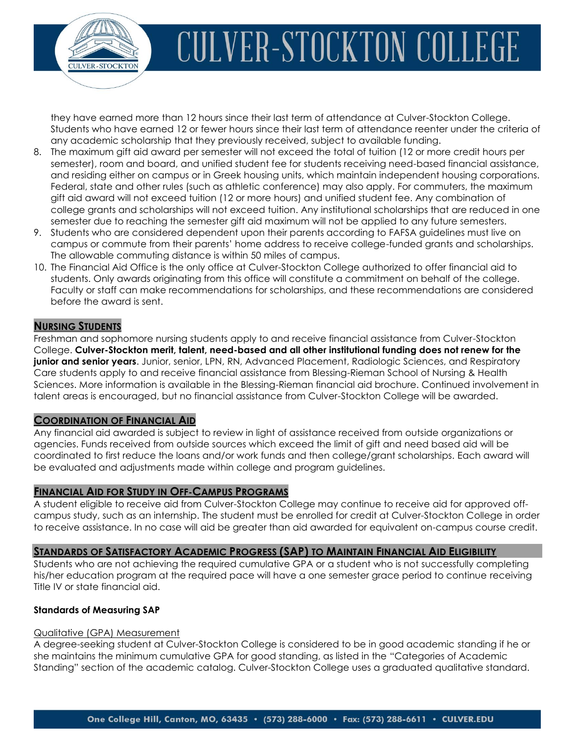

they have earned more than 12 hours since their last term of attendance at Culver-Stockton College. Students who have earned 12 or fewer hours since their last term of attendance reenter under the criteria of any academic scholarship that they previously received, subject to available funding.

- 8. The maximum gift aid award per semester will not exceed the total of tuition (12 or more credit hours per semester), room and board, and unified student fee for students receiving need-based financial assistance, and residing either on campus or in Greek housing units, which maintain independent housing corporations. Federal, state and other rules (such as athletic conference) may also apply. For commuters, the maximum gift aid award will not exceed tuition (12 or more hours) and unified student fee. Any combination of college grants and scholarships will not exceed tuition. Any institutional scholarships that are reduced in one semester due to reaching the semester gift aid maximum will not be applied to any future semesters.
- 9. Students who are considered dependent upon their parents according to FAFSA guidelines must live on campus or commute from their parents' home address to receive college-funded grants and scholarships. The allowable commuting distance is within 50 miles of campus.
- 10. The Financial Aid Office is the only office at Culver-Stockton College authorized to offer financial aid to students. Only awards originating from this office will constitute a commitment on behalf of the college. Faculty or staff can make recommendations for scholarships, and these recommendations are considered before the award is sent.

### **NURSING STUDENTS**

Freshman and sophomore nursing students apply to and receive financial assistance from Culver-Stockton College. **Culver-Stockton merit, talent, need-based and all other institutional funding does not renew for the junior and senior years**. Junior, senior, LPN, RN, Advanced Placement, Radiologic Sciences, and Respiratory Care students apply to and receive financial assistance from Blessing-Rieman School of Nursing & Health Sciences. More information is available in the Blessing-Rieman financial aid brochure. Continued involvement in talent areas is encouraged, but no financial assistance from Culver-Stockton College will be awarded.

### **COORDINATION OF FINANCIAL AID**

Any financial aid awarded is subject to review in light of assistance received from outside organizations or agencies. Funds received from outside sources which exceed the limit of gift and need based aid will be coordinated to first reduce the loans and/or work funds and then college/grant scholarships. Each award will be evaluated and adjustments made within college and program guidelines.

### **FINANCIAL AID FOR STUDY IN OFF-CAMPUS PROGRAMS**

A student eligible to receive aid from Culver-Stockton College may continue to receive aid for approved offcampus study, such as an internship. The student must be enrolled for credit at Culver-Stockton College in order to receive assistance. In no case will aid be greater than aid awarded for equivalent on-campus course credit.

### **STANDARDS OF SATISFACTORY ACADEMIC PROGRESS (SAP) TO MAINTAIN FINANCIAL AID ELIGIBILITY**

Students who are not achieving the required cumulative GPA or a student who is not successfully completing his/her education program at the required pace will have a one semester grace period to continue receiving Title IV or state financial aid.

### **Standards of Measuring SAP**

### Qualitative (GPA) Measurement

A degree-seeking student at Culver-Stockton College is considered to be in good academic standing if he or she maintains the minimum cumulative GPA for good standing, as listed in the "Categories of Academic Standing" section of the academic catalog. Culver-Stockton College uses a graduated qualitative standard.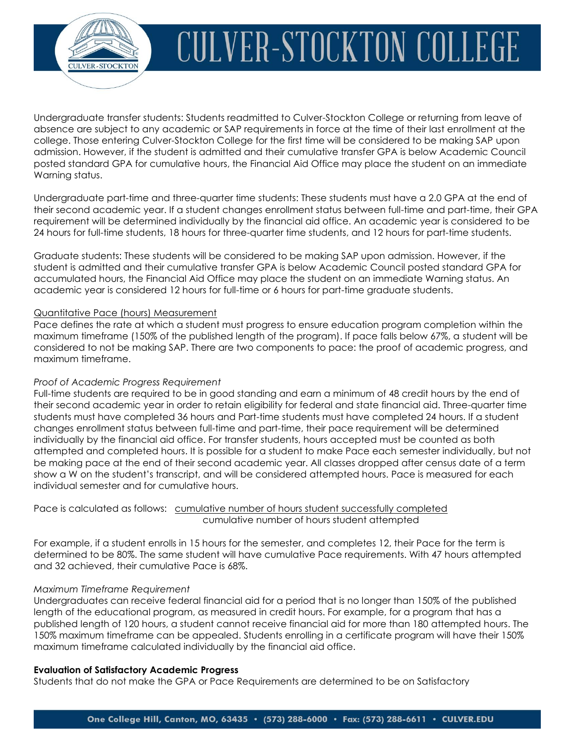

Undergraduate transfer students: Students readmitted to Culver-Stockton College or returning from leave of absence are subject to any academic or SAP requirements in force at the time of their last enrollment at the college. Those entering Culver-Stockton College for the first time will be considered to be making SAP upon admission. However, if the student is admitted and their cumulative transfer GPA is below Academic Council posted standard GPA for cumulative hours, the Financial Aid Office may place the student on an immediate Warning status.

Undergraduate part-time and three-quarter time students: These students must have a 2.0 GPA at the end of their second academic year. If a student changes enrollment status between full-time and part-time, their GPA requirement will be determined individually by the financial aid office. An academic year is considered to be 24 hours for full-time students, 18 hours for three-quarter time students, and 12 hours for part-time students.

Graduate students: These students will be considered to be making SAP upon admission. However, if the student is admitted and their cumulative transfer GPA is below Academic Council posted standard GPA for accumulated hours, the Financial Aid Office may place the student on an immediate Warning status. An academic year is considered 12 hours for full-time or 6 hours for part-time graduate students.

#### Quantitative Pace (hours) Measurement

Pace defines the rate at which a student must progress to ensure education program completion within the maximum timeframe (150% of the published length of the program). If pace falls below 67%, a student will be considered to not be making SAP. There are two components to pace: the proof of academic progress, and maximum timeframe.

### *Proof of Academic Progress Requirement*

Full-time students are required to be in good standing and earn a minimum of 48 credit hours by the end of their second academic year in order to retain eligibility for federal and state financial aid. Three-quarter time students must have completed 36 hours and Part-time students must have completed 24 hours. If a student changes enrollment status between full-time and part-time, their pace requirement will be determined individually by the financial aid office. For transfer students, hours accepted must be counted as both attempted and completed hours. It is possible for a student to make Pace each semester individually, but not be making pace at the end of their second academic year. All classes dropped after census date of a term show a W on the student's transcript, and will be considered attempted hours. Pace is measured for each individual semester and for cumulative hours.

Pace is calculated as follows: cumulative number of hours student successfully completed cumulative number of hours student attempted

For example, if a student enrolls in 15 hours for the semester, and completes 12, their Pace for the term is determined to be 80%. The same student will have cumulative Pace requirements. With 47 hours attempted and 32 achieved, their cumulative Pace is 68%.

#### *Maximum Timeframe Requirement*

Undergraduates can receive federal financial aid for a period that is no longer than 150% of the published length of the educational program, as measured in credit hours. For example, for a program that has a published length of 120 hours, a student cannot receive financial aid for more than 180 attempted hours. The 150% maximum timeframe can be appealed. Students enrolling in a certificate program will have their 150% maximum timeframe calculated individually by the financial aid office.

#### **Evaluation of Satisfactory Academic Progress**

Students that do not make the GPA or Pace Requirements are determined to be on Satisfactory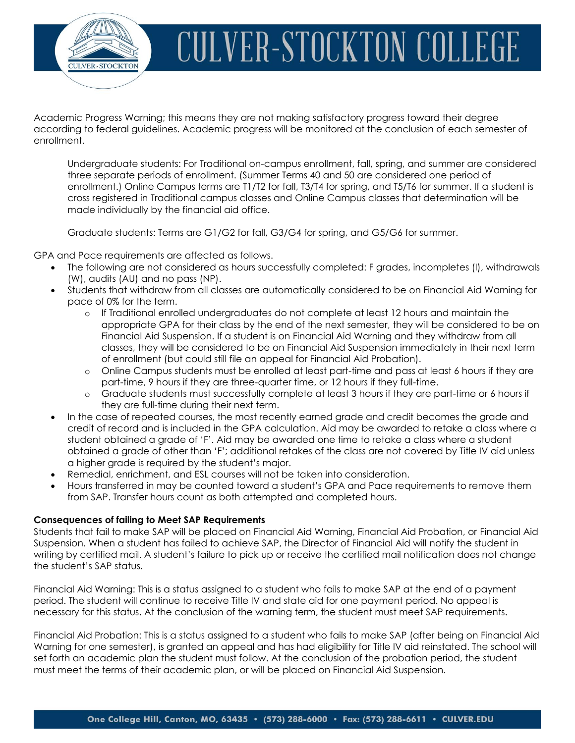

Academic Progress Warning; this means they are not making satisfactory progress toward their degree according to federal guidelines. Academic progress will be monitored at the conclusion of each semester of enrollment.

Undergraduate students: For Traditional on-campus enrollment, fall, spring, and summer are considered three separate periods of enrollment. (Summer Terms 40 and 50 are considered one period of enrollment.) Online Campus terms are T1/T2 for fall, T3/T4 for spring, and T5/T6 for summer. If a student is cross registered in Traditional campus classes and Online Campus classes that determination will be made individually by the financial aid office.

Graduate students: Terms are G1/G2 for fall, G3/G4 for spring, and G5/G6 for summer.

GPA and Pace requirements are affected as follows.

- The following are not considered as hours successfully completed: F grades, incompletes (I), withdrawals (W), audits (AU) and no pass (NP).
- Students that withdraw from all classes are automatically considered to be on Financial Aid Warning for pace of 0% for the term.
	- o If Traditional enrolled undergraduates do not complete at least 12 hours and maintain the appropriate GPA for their class by the end of the next semester, they will be considered to be on Financial Aid Suspension. If a student is on Financial Aid Warning and they withdraw from all classes, they will be considered to be on Financial Aid Suspension immediately in their next term of enrollment (but could still file an appeal for Financial Aid Probation).
	- o Online Campus students must be enrolled at least part-time and pass at least 6 hours if they are part-time, 9 hours if they are three-quarter time, or 12 hours if they full-time.
	- o Graduate students must successfully complete at least 3 hours if they are part-time or 6 hours if they are full-time during their next term.
- In the case of repeated courses, the most recently earned grade and credit becomes the grade and credit of record and is included in the GPA calculation. Aid may be awarded to retake a class where a student obtained a grade of 'F'. Aid may be awarded one time to retake a class where a student obtained a grade of other than 'F'; additional retakes of the class are not covered by Title IV aid unless a higher grade is required by the student's major.
- Remedial, enrichment, and ESL courses will not be taken into consideration.
- Hours transferred in may be counted toward a student's GPA and Pace requirements to remove them from SAP. Transfer hours count as both attempted and completed hours.

#### **Consequences of failing to Meet SAP Requirements**

Students that fail to make SAP will be placed on Financial Aid Warning, Financial Aid Probation, or Financial Aid Suspension. When a student has failed to achieve SAP, the Director of Financial Aid will notify the student in writing by certified mail. A student's failure to pick up or receive the certified mail notification does not change the student's SAP status.

Financial Aid Warning: This is a status assigned to a student who fails to make SAP at the end of a payment period. The student will continue to receive Title IV and state aid for one payment period. No appeal is necessary for this status. At the conclusion of the warning term, the student must meet SAP requirements.

Financial Aid Probation: This is a status assigned to a student who fails to make SAP (after being on Financial Aid Warning for one semester), is granted an appeal and has had eligibility for Title IV aid reinstated. The school will set forth an academic plan the student must follow. At the conclusion of the probation period, the student must meet the terms of their academic plan, or will be placed on Financial Aid Suspension.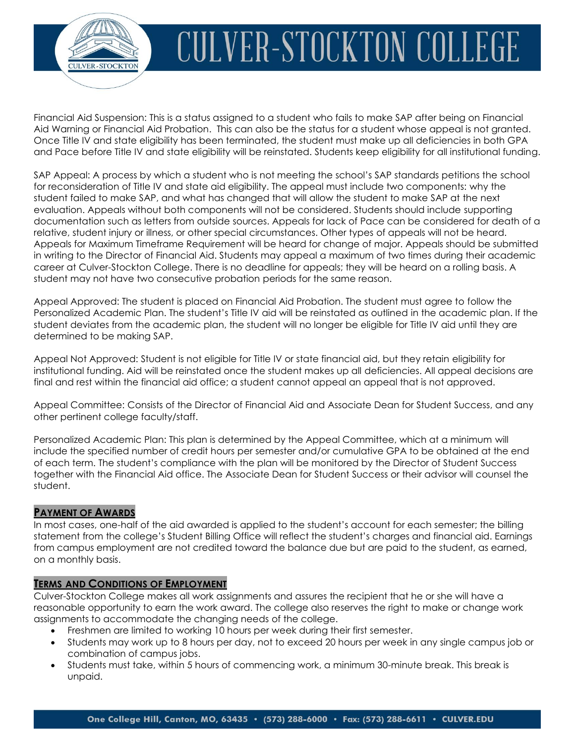

Financial Aid Suspension: This is a status assigned to a student who fails to make SAP after being on Financial Aid Warning or Financial Aid Probation. This can also be the status for a student whose appeal is not granted. Once Title IV and state eligibility has been terminated, the student must make up all deficiencies in both GPA and Pace before Title IV and state eligibility will be reinstated. Students keep eligibility for all institutional funding.

SAP Appeal: A process by which a student who is not meeting the school's SAP standards petitions the school for reconsideration of Title IV and state aid eligibility. The appeal must include two components: why the student failed to make SAP, and what has changed that will allow the student to make SAP at the next evaluation. Appeals without both components will not be considered. Students should include supporting documentation such as letters from outside sources. Appeals for lack of Pace can be considered for death of a relative, student injury or illness, or other special circumstances. Other types of appeals will not be heard. Appeals for Maximum Timeframe Requirement will be heard for change of major. Appeals should be submitted in writing to the Director of Financial Aid. Students may appeal a maximum of two times during their academic career at Culver-Stockton College. There is no deadline for appeals; they will be heard on a rolling basis. A student may not have two consecutive probation periods for the same reason.

Appeal Approved: The student is placed on Financial Aid Probation. The student must agree to follow the Personalized Academic Plan. The student's Title IV aid will be reinstated as outlined in the academic plan. If the student deviates from the academic plan, the student will no longer be eligible for Title IV aid until they are determined to be making SAP.

Appeal Not Approved: Student is not eligible for Title IV or state financial aid, but they retain eligibility for institutional funding. Aid will be reinstated once the student makes up all deficiencies. All appeal decisions are final and rest within the financial aid office; a student cannot appeal an appeal that is not approved.

Appeal Committee: Consists of the Director of Financial Aid and Associate Dean for Student Success, and any other pertinent college faculty/staff.

Personalized Academic Plan: This plan is determined by the Appeal Committee, which at a minimum will include the specified number of credit hours per semester and/or cumulative GPA to be obtained at the end of each term. The student's compliance with the plan will be monitored by the Director of Student Success together with the Financial Aid office. The Associate Dean for Student Success or their advisor will counsel the student.

### **PAYMENT OF AWARDS**

In most cases, one-half of the aid awarded is applied to the student's account for each semester; the billing statement from the college's Student Billing Office will reflect the student's charges and financial aid. Earnings from campus employment are not credited toward the balance due but are paid to the student, as earned, on a monthly basis.

### **TERMS AND CONDITIONS OF EMPLOYMENT**

Culver-Stockton College makes all work assignments and assures the recipient that he or she will have a reasonable opportunity to earn the work award. The college also reserves the right to make or change work assignments to accommodate the changing needs of the college.

- Freshmen are limited to working 10 hours per week during their first semester.
- Students may work up to 8 hours per day, not to exceed 20 hours per week in any single campus job or combination of campus jobs.
- Students must take, within 5 hours of commencing work, a minimum 30-minute break. This break is unpaid.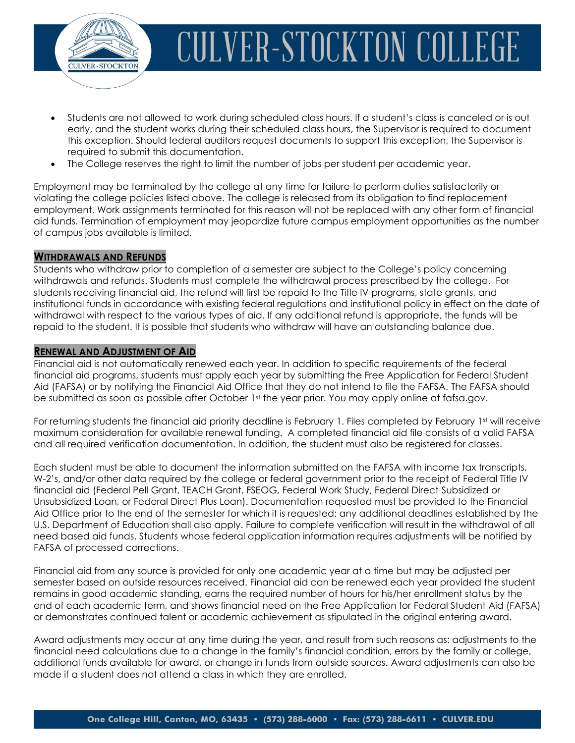

- Students are not allowed to work during scheduled class hours. If a student's class is canceled or is out early, and the student works during their scheduled class hours, the Supervisor is required to document this exception. Should federal auditors request documents to support this exception, the Supervisor is required to submit this documentation.
- The College reserves the right to limit the number of jobs per student per academic year.

Employment may be terminated by the college at any time for failure to perform duties satisfactorily or violating the college policies listed above. The college is released from its obligation to find replacement employment. Work assignments terminated for this reason will not be replaced with any other form of financial aid funds. Termination of employment may jeopardize future campus employment opportunities as the number of campus jobs available is limited.

### **WITHDRAWALS AND REFUNDS**

Students who withdraw prior to completion of a semester are subject to the College's policy concerning withdrawals and refunds. Students must complete the withdrawal process prescribed by the college. For students receiving financial aid, the refund will first be repaid to the Title IV programs, state grants, and institutional funds in accordance with existing federal regulations and institutional policy in effect on the date of withdrawal with respect to the various types of aid. If any additional refund is appropriate, the funds will be repaid to the student. It is possible that students who withdraw will have an outstanding balance due.

### **RENEWAL AND ADJUSTMENT OF AID**

Financial aid is not automatically renewed each year. In addition to specific requirements of the federal financial aid programs, students must apply each year by submitting the Free Application for Federal Student Aid (FAFSA) or by notifying the Financial Aid Office that they do not intend to file the FAFSA. The FAFSA should be submitted as soon as possible after October 1st the year prior. You may apply online at fafsa.gov.

For returning students the financial aid priority deadline is February 1. Files completed by February 1st will receive maximum consideration for available renewal funding. A completed financial aid file consists of a valid FAFSA and all required verification documentation. In addition, the student must also be registered for classes.

Each student must be able to document the information submitted on the FAFSA with income tax transcripts, W-2's, and/or other data required by the college or federal government prior to the receipt of Federal Title IV financial aid (Federal Pell Grant, TEACH Grant, FSEOG, Federal Work Study, Federal Direct Subsidized or Unsubsidized Loan, or Federal Direct Plus Loan). Documentation requested must be provided to the Financial Aid Office prior to the end of the semester for which it is requested; any additional deadlines established by the U.S. Department of Education shall also apply. Failure to complete verification will result in the withdrawal of all need based aid funds. Students whose federal application information requires adjustments will be notified by FAFSA of processed corrections.

Financial aid from any source is provided for only one academic year at a time but may be adjusted per semester based on outside resources received. Financial aid can be renewed each year provided the student remains in good academic standing, earns the required number of hours for his/her enrollment status by the end of each academic term, and shows financial need on the Free Application for Federal Student Aid (FAFSA) or demonstrates continued talent or academic achievement as stipulated in the original entering award.

Award adjustments may occur at any time during the year, and result from such reasons as: adjustments to the financial need calculations due to a change in the family's financial condition, errors by the family or college, additional funds available for award, or change in funds from outside sources. Award adjustments can also be made if a student does not attend a class in which they are enrolled.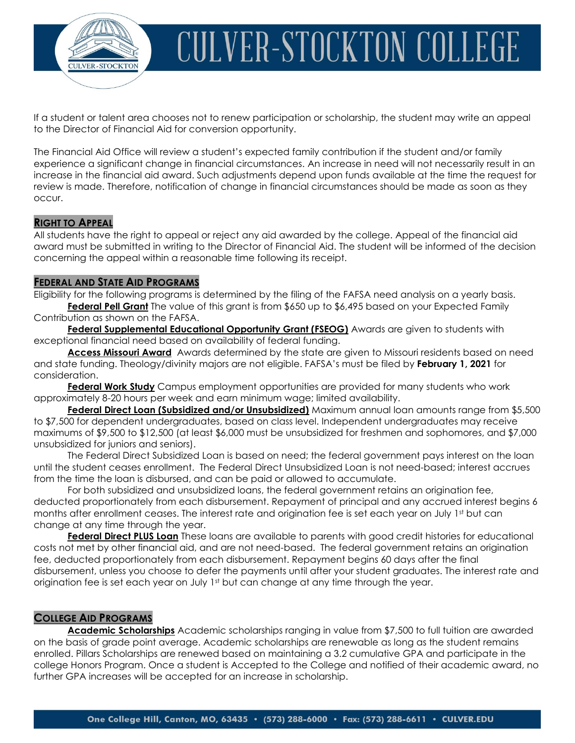

If a student or talent area chooses not to renew participation or scholarship, the student may write an appeal to the Director of Financial Aid for conversion opportunity.

The Financial Aid Office will review a student's expected family contribution if the student and/or family experience a significant change in financial circumstances. An increase in need will not necessarily result in an increase in the financial aid award. Such adjustments depend upon funds available at the time the request for review is made. Therefore, notification of change in financial circumstances should be made as soon as they occur.

#### **RIGHT TO APPEAL**

All students have the right to appeal or reject any aid awarded by the college. Appeal of the financial aid award must be submitted in writing to the Director of Financial Aid. The student will be informed of the decision concerning the appeal within a reasonable time following its receipt.

### **FEDERAL AND STATE AID PROGRAMS**

Eligibility for the following programs is determined by the filing of the FAFSA need analysis on a yearly basis. **Federal Pell Grant** The value of this grant is from \$650 up to \$6,495 based on your Expected Family Contribution as shown on the FAFSA.

**Federal Supplemental Educational Opportunity Grant (FSEOG)** Awards are given to students with exceptional financial need based on availability of federal funding.

**Access Missouri Award** Awards determined by the state are given to Missouri residents based on need and state funding. Theology/divinity majors are not eligible. FAFSA's must be filed by **February 1, 2021** for consideration.

**Federal Work Study** Campus employment opportunities are provided for many students who work approximately 8-20 hours per week and earn minimum wage; limited availability.

**Federal Direct Loan (Subsidized and/or Unsubsidized)** Maximum annual loan amounts range from \$5,500 to \$7,500 for dependent undergraduates, based on class level. Independent undergraduates may receive maximums of \$9,500 to \$12,500 (at least \$6,000 must be unsubsidized for freshmen and sophomores, and \$7,000 unsubsidized for juniors and seniors).

The Federal Direct Subsidized Loan is based on need; the federal government pays interest on the loan until the student ceases enrollment. The Federal Direct Unsubsidized Loan is not need-based; interest accrues from the time the loan is disbursed, and can be paid or allowed to accumulate.

For both subsidized and unsubsidized loans, the federal government retains an origination fee, deducted proportionately from each disbursement. Repayment of principal and any accrued interest begins 6 months after enrollment ceases. The interest rate and origination fee is set each year on July 1st but can change at any time through the year.

**Federal Direct PLUS Loan** These loans are available to parents with good credit histories for educational costs not met by other financial aid, and are not need-based. The federal government retains an origination fee, deducted proportionately from each disbursement. Repayment begins 60 days after the final disbursement, unless you choose to defer the payments until after your student graduates. The interest rate and origination fee is set each year on July 1st but can change at any time through the year.

#### **COLLEGE AID PROGRAMS**

**Academic Scholarships** Academic scholarships ranging in value from \$7,500 to full tuition are awarded on the basis of grade point average. Academic scholarships are renewable as long as the student remains enrolled. Pillars Scholarships are renewed based on maintaining a 3.2 cumulative GPA and participate in the college Honors Program. Once a student is Accepted to the College and notified of their academic award, no further GPA increases will be accepted for an increase in scholarship.